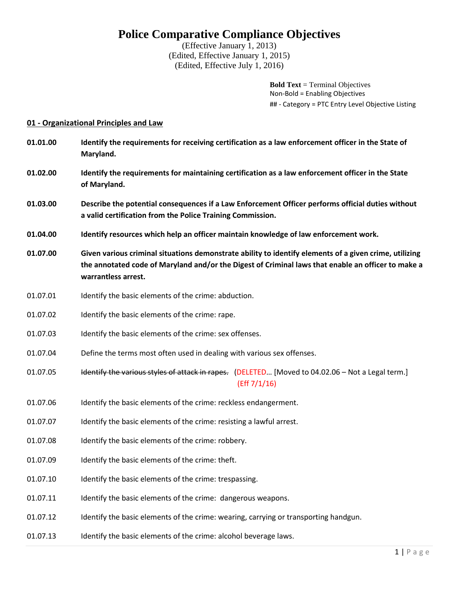# **Police Comparative Compliance Objectives**

(Effective January 1, 2013) (Edited, Effective January 1, 2015) (Edited, Effective July 1, 2016)

> **Bold Text** = Terminal Objectives Non-Bold = Enabling Objectives ## - Category = PTC Entry Level Objective Listing

## **01 - Organizational Principles and Law**

| 01.01.00 | Identify the requirements for receiving certification as a law enforcement officer in the State of<br>Maryland.                                                                                                                     |
|----------|-------------------------------------------------------------------------------------------------------------------------------------------------------------------------------------------------------------------------------------|
| 01.02.00 | Identify the requirements for maintaining certification as a law enforcement officer in the State<br>of Maryland.                                                                                                                   |
| 01.03.00 | Describe the potential consequences if a Law Enforcement Officer performs official duties without<br>a valid certification from the Police Training Commission.                                                                     |
| 01.04.00 | Identify resources which help an officer maintain knowledge of law enforcement work.                                                                                                                                                |
| 01.07.00 | Given various criminal situations demonstrate ability to identify elements of a given crime, utilizing<br>the annotated code of Maryland and/or the Digest of Criminal laws that enable an officer to make a<br>warrantless arrest. |
| 01.07.01 | Identify the basic elements of the crime: abduction.                                                                                                                                                                                |
| 01.07.02 | Identify the basic elements of the crime: rape.                                                                                                                                                                                     |
| 01.07.03 | Identify the basic elements of the crime: sex offenses.                                                                                                                                                                             |
| 01.07.04 | Define the terms most often used in dealing with various sex offenses.                                                                                                                                                              |
| 01.07.05 | Identify the various styles of attack in rapes. (DELETED [Moved to 04.02.06 - Not a Legal term.]<br>(Eff 7/1/16)                                                                                                                    |
| 01.07.06 | Identify the basic elements of the crime: reckless endangerment.                                                                                                                                                                    |
| 01.07.07 | Identify the basic elements of the crime: resisting a lawful arrest.                                                                                                                                                                |
| 01.07.08 | Identify the basic elements of the crime: robbery.                                                                                                                                                                                  |
| 01.07.09 | Identify the basic elements of the crime: theft.                                                                                                                                                                                    |
| 01.07.10 | Identify the basic elements of the crime: trespassing.                                                                                                                                                                              |
| 01.07.11 | Identify the basic elements of the crime: dangerous weapons.                                                                                                                                                                        |
| 01.07.12 | Identify the basic elements of the crime: wearing, carrying or transporting handgun.                                                                                                                                                |
| 01.07.13 | Identify the basic elements of the crime: alcohol beverage laws.                                                                                                                                                                    |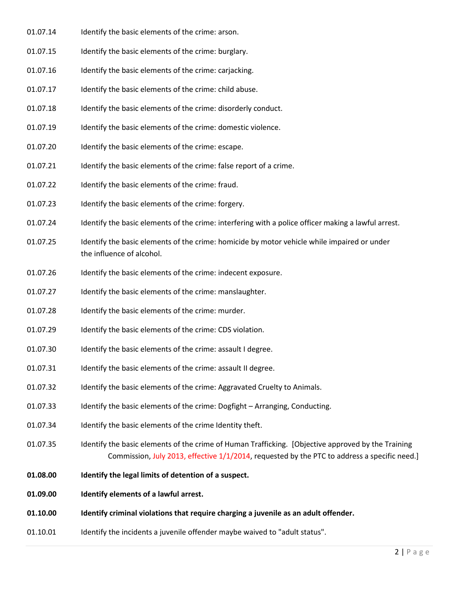- 01.07.14 Identify the basic elements of the crime: arson.
- 01.07.15 Identify the basic elements of the crime: burglary.
- 01.07.16 Identify the basic elements of the crime: carjacking.
- 01.07.17 Identify the basic elements of the crime: child abuse.
- 01.07.18 Identify the basic elements of the crime: disorderly conduct.
- 01.07.19 Identify the basic elements of the crime: domestic violence.
- 01.07.20 Identify the basic elements of the crime: escape.
- 01.07.21 Identify the basic elements of the crime: false report of a crime.
- 01.07.22 Identify the basic elements of the crime: fraud.
- 01.07.23 Identify the basic elements of the crime: forgery.
- 01.07.24 Identify the basic elements of the crime: interfering with a police officer making a lawful arrest.
- 01.07.25 Identify the basic elements of the crime: homicide by motor vehicle while impaired or under the influence of alcohol.
- 01.07.26 Identify the basic elements of the crime: indecent exposure.
- 01.07.27 Identify the basic elements of the crime: manslaughter.
- 01.07.28 Identify the basic elements of the crime: murder.
- 01.07.29 Identify the basic elements of the crime: CDS violation.
- 01.07.30 Identify the basic elements of the crime: assault I degree.
- 01.07.31 Identify the basic elements of the crime: assault II degree.
- 01.07.32 Identify the basic elements of the crime: Aggravated Cruelty to Animals.
- 01.07.33 Identify the basic elements of the crime: Dogfight Arranging, Conducting.
- 01.07.34 Identify the basic elements of the crime Identity theft.
- 01.07.35 Identify the basic elements of the crime of Human Trafficking. [Objective approved by the Training Commission, July 2013, effective 1/1/2014, requested by the PTC to address a specific need.]
- **01.08.00 Identify the legal limits of detention of a suspect.**
- **01.09.00 Identify elements of a lawful arrest.**
- **01.10.00 Identify criminal violations that require charging a juvenile as an adult offender.**
- 01.10.01 Identify the incidents a juvenile offender maybe waived to "adult status".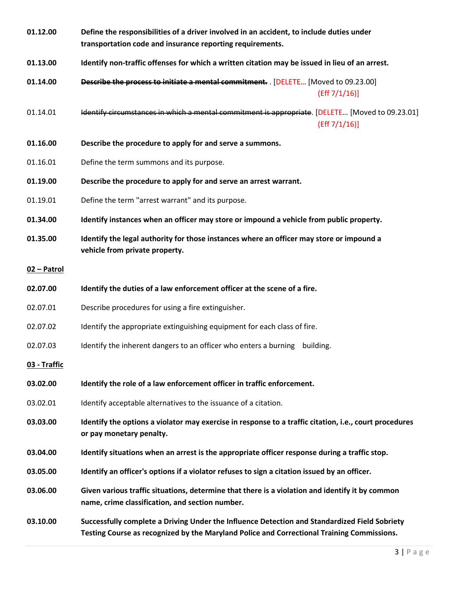| 01.12.00     | Define the responsibilities of a driver involved in an accident, to include duties under<br>transportation code and insurance reporting requirements.                                       |
|--------------|---------------------------------------------------------------------------------------------------------------------------------------------------------------------------------------------|
| 01.13.00     | Identify non-traffic offenses for which a written citation may be issued in lieu of an arrest.                                                                                              |
| 01.14.00     | Describe the process to initiate a mental commitment. [DELETE [Moved to 09.23.00]<br>(Eff 7/1/16)]                                                                                          |
| 01.14.01     | Identify circumstances in which a mental commitment is appropriate. [DELETE [Moved to 09.23.01]<br>(Eff 7/1/16)]                                                                            |
| 01.16.00     | Describe the procedure to apply for and serve a summons.                                                                                                                                    |
| 01.16.01     | Define the term summons and its purpose.                                                                                                                                                    |
| 01.19.00     | Describe the procedure to apply for and serve an arrest warrant.                                                                                                                            |
| 01.19.01     | Define the term "arrest warrant" and its purpose.                                                                                                                                           |
| 01.34.00     | Identify instances when an officer may store or impound a vehicle from public property.                                                                                                     |
| 01.35.00     | Identify the legal authority for those instances where an officer may store or impound a<br>vehicle from private property.                                                                  |
| 02 - Patrol  |                                                                                                                                                                                             |
| 02.07.00     | Identify the duties of a law enforcement officer at the scene of a fire.                                                                                                                    |
| 02.07.01     | Describe procedures for using a fire extinguisher.                                                                                                                                          |
| 02.07.02     | Identify the appropriate extinguishing equipment for each class of fire.                                                                                                                    |
| 02.07.03     | Identify the inherent dangers to an officer who enters a burning<br>building.                                                                                                               |
| 03 - Traffic |                                                                                                                                                                                             |
| 03.02.00     | Identify the role of a law enforcement officer in traffic enforcement.                                                                                                                      |
| 03.02.01     | Identify acceptable alternatives to the issuance of a citation.                                                                                                                             |
| 03.03.00     | Identify the options a violator may exercise in response to a traffic citation, i.e., court procedures<br>or pay monetary penalty.                                                          |
| 03.04.00     | Identify situations when an arrest is the appropriate officer response during a traffic stop.                                                                                               |
| 03.05.00     | Identify an officer's options if a violator refuses to sign a citation issued by an officer.                                                                                                |
| 03.06.00     | Given various traffic situations, determine that there is a violation and identify it by common<br>name, crime classification, and section number.                                          |
| 03.10.00     | Successfully complete a Driving Under the Influence Detection and Standardized Field Sobriety<br>Testing Course as recognized by the Maryland Police and Correctional Training Commissions. |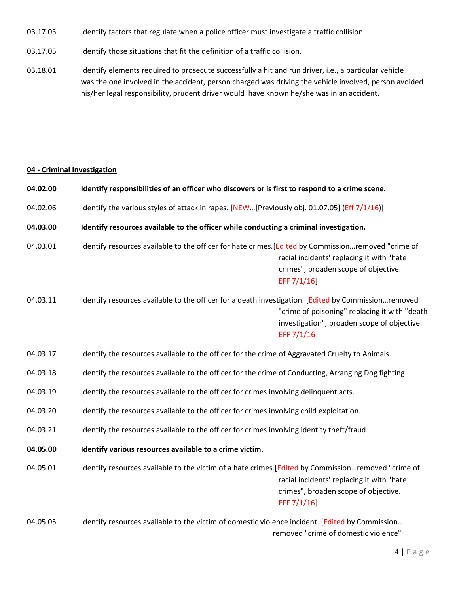- 03.17.03 Identify factors that regulate when a police officer must investigate a traffic collision.
- 03.17.05 Identify those situations that fit the definition of a traffic collision.
- 03.18.01 Identify elements required to prosecute successfully a hit and run driver, i.e., a particular vehicle was the one involved in the accident, person charged was driving the vehicle involved, person avoided his/her legal responsibility, prudent driver would have known he/she was in an accident.

# **04 - Criminal Investigation**

| 04.02.00 | Identify responsibilities of an officer who discovers or is first to respond to a crime scene.                                                                                                                    |
|----------|-------------------------------------------------------------------------------------------------------------------------------------------------------------------------------------------------------------------|
| 04.02.06 | Identify the various styles of attack in rapes. [NEW[Previously obj. 01.07.05] (Eff 7/1/16)]                                                                                                                      |
| 04.03.00 | Identify resources available to the officer while conducting a criminal investigation.                                                                                                                            |
| 04.03.01 | Identify resources available to the officer for hate crimes. [Edited by Commissionremoved "crime of<br>racial incidents' replacing it with "hate<br>crimes", broaden scope of objective.<br>EFF 7/1/16]           |
| 04.03.11 | Identify resources available to the officer for a death investigation. [Edited by Commissionremoved<br>"crime of poisoning" replacing it with "death<br>investigation", broaden scope of objective.<br>EFF 7/1/16 |
| 04.03.17 | Identify the resources available to the officer for the crime of Aggravated Cruelty to Animals.                                                                                                                   |
| 04.03.18 | Identify the resources available to the officer for the crime of Conducting, Arranging Dog fighting.                                                                                                              |
| 04.03.19 | Identify the resources available to the officer for crimes involving delinquent acts.                                                                                                                             |
| 04.03.20 | Identify the resources available to the officer for crimes involving child exploitation.                                                                                                                          |
| 04.03.21 | Identify the resources available to the officer for crimes involving identity theft/fraud.                                                                                                                        |
| 04.05.00 | Identify various resources available to a crime victim.                                                                                                                                                           |
| 04.05.01 | Identify resources available to the victim of a hate crimes. [Edited by Commissionremoved "crime of<br>racial incidents' replacing it with "hate<br>crimes", broaden scope of objective.<br>EFF 7/1/16]           |
| 04.05.05 | Identify resources available to the victim of domestic violence incident. [Edited by Commission                                                                                                                   |

removed "crime of domestic violence"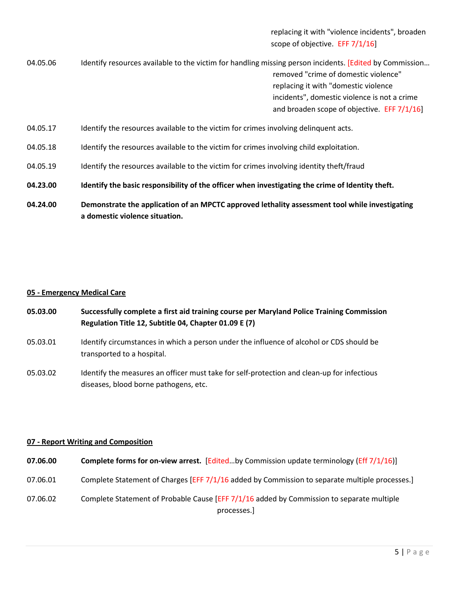replacing it with "violence incidents", broaden scope of objective. EFF 7/1/16]

04.05.06 Identify resources available to the victim for handling missing person incidents. [Edited by Commission... removed "crime of domestic violence" replacing it with "domestic violence incidents", domestic violence is not a crime and broaden scope of objective. EFF 7/1/16] 04.05.17 Identify the resources available to the victim for crimes involving delinquent acts. 04.05.18 Identify the resources available to the victim for crimes involving child exploitation.

- 04.05.19 Identify the resources available to the victim for crimes involving identity theft/fraud
- **04.23.00 Identify the basic responsibility of the officer when investigating the crime of Identity theft.**
- **04.24.00 Demonstrate the application of an MPCTC approved lethality assessment tool while investigating a domestic violence situation.**

# **05 - Emergency Medical Care**

- **05.03.00 Successfully complete a first aid training course per Maryland Police Training Commission Regulation Title 12, Subtitle 04, Chapter 01.09 E (7)**
- 05.03.01 Identify circumstances in which a person under the influence of alcohol or CDS should be transported to a hospital.
- 05.03.02 Identify the measures an officer must take for self-protection and clean-up for infectious diseases, blood borne pathogens, etc.

# **07 - Report Writing and Composition**

| 07.06.00 | <b>Complete forms for on-view arrest.</b> [Editedby Commission update terminology (Eff 7/1/16)] |
|----------|-------------------------------------------------------------------------------------------------|
| 07.06.01 | Complete Statement of Charges [EFF 7/1/16 added by Commission to separate multiple processes.]  |
| 07.06.02 | Complete Statement of Probable Cause [EFF $7/1/16$ added by Commission to separate multiple     |
|          | processes.                                                                                      |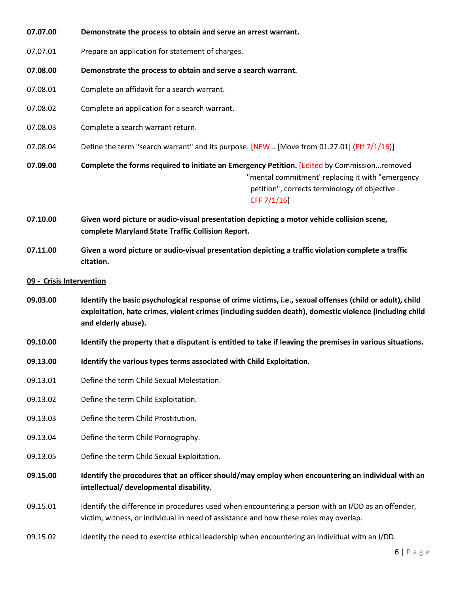- **07.07.00 Demonstrate the process to obtain and serve an arrest warrant.**
- 07.07.01 Prepare an application for statement of charges.
- **07.08.00 Demonstrate the process to obtain and serve a search warrant.**
- 07.08.01 Complete an affidavit for a search warrant.
- 07.08.02 Complete an application for a search warrant.
- 07.08.03 Complete a search warrant return.
- 07.08.04 Define the term "search warrant" and its purpose. [NEW... [Move from 01.27.01] (Eff 7/1/16)]

**07.09.00 Complete the forms required to initiate an Emergency Petition.** [Edited by Commission…removed "mental commitment' replacing it with "emergency petition", corrects terminology of objective . EFF 7/1/16]

- **07.10.00 Given word picture or audio-visual presentation depicting a motor vehicle collision scene, complete Maryland State Traffic Collision Report.**
- **07.11.00 Given a word picture or audio-visual presentation depicting a traffic violation complete a traffic citation.**
- **09 Crisis Intervention**
- **09.03.00 Identify the basic psychological response of crime victims, i.e., sexual offenses (child or adult), child exploitation, hate crimes, violent crimes (including sudden death), domestic violence (including child and elderly abuse).**
- **09.10.00 Identify the property that a disputant is entitled to take if leaving the premises in various situations.**
- **09.13.00 Identify the various types terms associated with Child Exploitation.**
- 09.13.01 Define the term Child Sexual Molestation.
- 09.13.02 Define the term Child Exploitation.
- 09.13.03 Define the term Child Prostitution.
- 09.13.04 Define the term Child Pornography.
- 09.13.05 Define the term Child Sexual Exploitation.
- **09.15.00 Identify the procedures that an officer should/may employ when encountering an individual with an intellectual/ developmental disability.**
- 09.15.01 Identify the difference in procedures used when encountering a person with an I/DD as an offender, victim, witness, or individual in need of assistance and how these roles may overlap.
- 09.15.02 Identify the need to exercise ethical leadership when encountering an individual with an I/DD.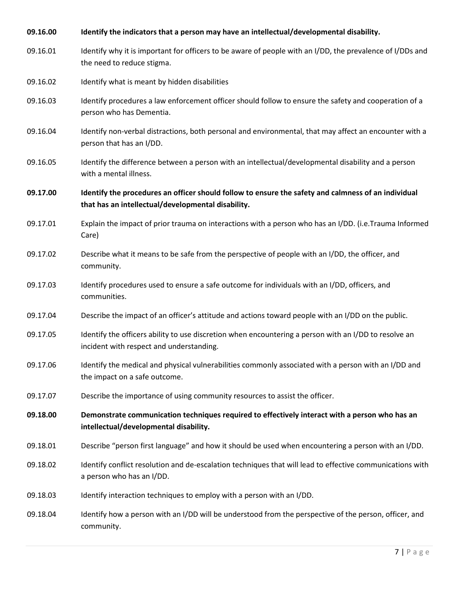| 09.16.00 | Identify the indicators that a person may have an intellectual/developmental disability.                                                                  |
|----------|-----------------------------------------------------------------------------------------------------------------------------------------------------------|
| 09.16.01 | Identify why it is important for officers to be aware of people with an I/DD, the prevalence of I/DDs and<br>the need to reduce stigma.                   |
| 09.16.02 | Identify what is meant by hidden disabilities                                                                                                             |
| 09.16.03 | Identify procedures a law enforcement officer should follow to ensure the safety and cooperation of a<br>person who has Dementia.                         |
| 09.16.04 | Identify non-verbal distractions, both personal and environmental, that may affect an encounter with a<br>person that has an I/DD.                        |
| 09.16.05 | Identify the difference between a person with an intellectual/developmental disability and a person<br>with a mental illness.                             |
| 09.17.00 | Identify the procedures an officer should follow to ensure the safety and calmness of an individual<br>that has an intellectual/developmental disability. |
| 09.17.01 | Explain the impact of prior trauma on interactions with a person who has an I/DD. (i.e.Trauma Informed<br>Care)                                           |
| 09.17.02 | Describe what it means to be safe from the perspective of people with an I/DD, the officer, and<br>community.                                             |
| 09.17.03 | Identify procedures used to ensure a safe outcome for individuals with an I/DD, officers, and<br>communities.                                             |
| 09.17.04 | Describe the impact of an officer's attitude and actions toward people with an I/DD on the public.                                                        |
| 09.17.05 | Identify the officers ability to use discretion when encountering a person with an I/DD to resolve an<br>incident with respect and understanding.         |
| 09.17.06 | Identify the medical and physical vulnerabilities commonly associated with a person with an I/DD and<br>the impact on a safe outcome.                     |
| 09.17.07 | Describe the importance of using community resources to assist the officer.                                                                               |
| 09.18.00 | Demonstrate communication techniques required to effectively interact with a person who has an<br>intellectual/developmental disability.                  |
| 09.18.01 | Describe "person first language" and how it should be used when encountering a person with an I/DD.                                                       |
| 09.18.02 | Identify conflict resolution and de-escalation techniques that will lead to effective communications with<br>a person who has an I/DD.                    |
| 09.18.03 | Identify interaction techniques to employ with a person with an I/DD.                                                                                     |
| 09.18.04 | Identify how a person with an I/DD will be understood from the perspective of the person, officer, and<br>community.                                      |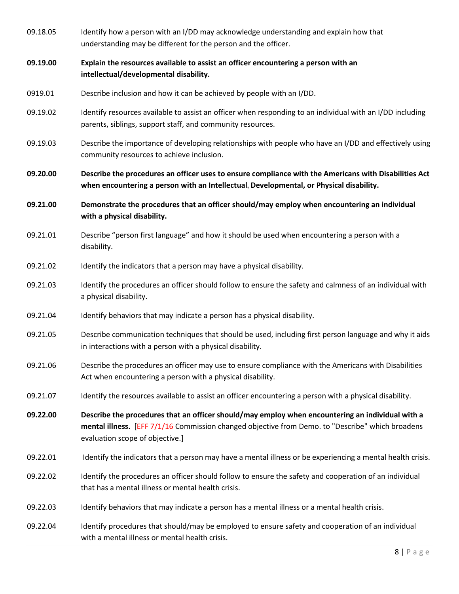| 09.18.05 | Identify how a person with an I/DD may acknowledge understanding and explain how that<br>understanding may be different for the person and the officer.                                                                                 |
|----------|-----------------------------------------------------------------------------------------------------------------------------------------------------------------------------------------------------------------------------------------|
| 09.19.00 | Explain the resources available to assist an officer encountering a person with an<br>intellectual/developmental disability.                                                                                                            |
| 0919.01  | Describe inclusion and how it can be achieved by people with an I/DD.                                                                                                                                                                   |
| 09.19.02 | Identify resources available to assist an officer when responding to an individual with an I/DD including<br>parents, siblings, support staff, and community resources.                                                                 |
| 09.19.03 | Describe the importance of developing relationships with people who have an I/DD and effectively using<br>community resources to achieve inclusion.                                                                                     |
| 09.20.00 | Describe the procedures an officer uses to ensure compliance with the Americans with Disabilities Act<br>when encountering a person with an Intellectual, Developmental, or Physical disability.                                        |
| 09.21.00 | Demonstrate the procedures that an officer should/may employ when encountering an individual<br>with a physical disability.                                                                                                             |
| 09.21.01 | Describe "person first language" and how it should be used when encountering a person with a<br>disability.                                                                                                                             |
| 09.21.02 | Identify the indicators that a person may have a physical disability.                                                                                                                                                                   |
| 09.21.03 | Identify the procedures an officer should follow to ensure the safety and calmness of an individual with<br>a physical disability.                                                                                                      |
| 09.21.04 | Identify behaviors that may indicate a person has a physical disability.                                                                                                                                                                |
| 09.21.05 | Describe communication techniques that should be used, including first person language and why it aids<br>in interactions with a person with a physical disability.                                                                     |
| 09.21.06 | Describe the procedures an officer may use to ensure compliance with the Americans with Disabilities<br>Act when encountering a person with a physical disability.                                                                      |
| 09.21.07 | Identify the resources available to assist an officer encountering a person with a physical disability.                                                                                                                                 |
| 09.22.00 | Describe the procedures that an officer should/may employ when encountering an individual with a<br>mental illness. [EFF 7/1/16 Commission changed objective from Demo. to "Describe" which broadens<br>evaluation scope of objective.] |
| 09.22.01 | Identify the indicators that a person may have a mental illness or be experiencing a mental health crisis.                                                                                                                              |
| 09.22.02 | Identify the procedures an officer should follow to ensure the safety and cooperation of an individual<br>that has a mental illness or mental health crisis.                                                                            |
| 09.22.03 | Identify behaviors that may indicate a person has a mental illness or a mental health crisis.                                                                                                                                           |
| 09.22.04 | Identify procedures that should/may be employed to ensure safety and cooperation of an individual<br>with a mental illness or mental health crisis.                                                                                     |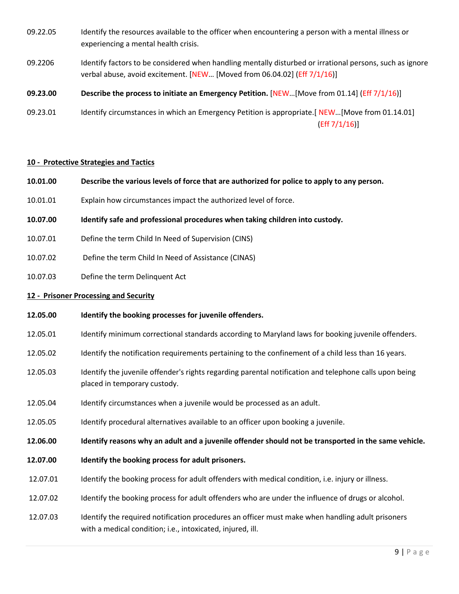- 09.22.05 Identify the resources available to the officer when encountering a person with a mental illness or experiencing a mental health crisis.
- 09.2206 Identify factors to be considered when handling mentally disturbed or irrational persons, such as ignore verbal abuse, avoid excitement. [NEW... [Moved from 06.04.02] (Eff 7/1/16)]
- **09.23.00 Describe the process to initiate an Emergency Petition.** [NEW…[Move from 01.14] (Eff 7/1/16)]
- 09.23.01 Identify circumstances in which an Emergency Petition is appropriate.[ NEW…[Move from 01.14.01] (Eff 7/1/16)]

#### **10 - Protective Strategies and Tactics**

- **10.01.00 Describe the various levels of force that are authorized for police to apply to any person.**
- 10.01.01 Explain how circumstances impact the authorized level of force.
- **10.07.00 Identify safe and professional procedures when taking children into custody.**
- 10.07.01 Define the term Child In Need of Supervision (CINS)
- 10.07.02 Define the term Child In Need of Assistance (CINAS)
- 10.07.03 Define the term Delinquent Act

#### **12 - Prisoner Processing and Security**

- **12.05.00 Identify the booking processes for juvenile offenders.**
- 12.05.01 Identify minimum correctional standards according to Maryland laws for booking juvenile offenders.
- 12.05.02 Identify the notification requirements pertaining to the confinement of a child less than 16 years.
- 12.05.03 Identify the juvenile offender's rights regarding parental notification and telephone calls upon being placed in temporary custody.
- 12.05.04 Identify circumstances when a juvenile would be processed as an adult.
- 12.05.05 Identify procedural alternatives available to an officer upon booking a juvenile.
- **12.06.00 Identify reasons why an adult and a juvenile offender should not be transported in the same vehicle.**
- **12.07.00 Identify the booking process for adult prisoners.**
- 12.07.01 Identify the booking process for adult offenders with medical condition, i.e. injury or illness.
- 12.07.02 Identify the booking process for adult offenders who are under the influence of drugs or alcohol.
- 12.07.03 Identify the required notification procedures an officer must make when handling adult prisoners with a medical condition; i.e., intoxicated, injured, ill.